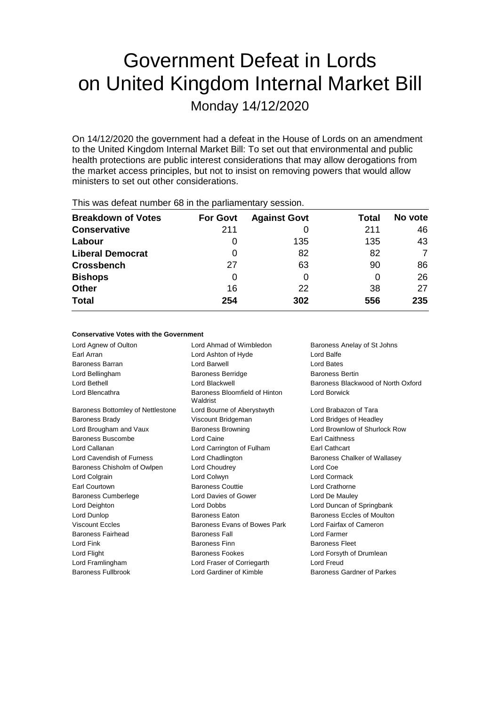# Government Defeat in Lords on United Kingdom Internal Market Bill

Monday 14/12/2020

On 14/12/2020 the government had a defeat in the House of Lords on an amendment to the United Kingdom Internal Market Bill: To set out that environmental and public health protections are public interest considerations that may allow derogations from the market access principles, but not to insist on removing powers that would allow ministers to set out other considerations.

| $1.110$ $1.000$ and the stationartic and $0.000$ in the position individual proposition. |                 |                     |       |         |  |  |  |
|------------------------------------------------------------------------------------------|-----------------|---------------------|-------|---------|--|--|--|
| <b>Breakdown of Votes</b>                                                                | <b>For Govt</b> | <b>Against Govt</b> | Total | No vote |  |  |  |
| <b>Conservative</b>                                                                      | 211             |                     | 211   | 46      |  |  |  |
| Labour                                                                                   |                 | 135                 | 135   | 43      |  |  |  |
| <b>Liberal Democrat</b>                                                                  | 0               | 82                  | 82    | 7       |  |  |  |
| <b>Crossbench</b>                                                                        | 27              | 63                  | 90    | 86      |  |  |  |
| <b>Bishops</b>                                                                           | 0               |                     |       | 26      |  |  |  |
| <b>Other</b>                                                                             | 16              | 22                  | 38    | 27      |  |  |  |
| <b>Total</b>                                                                             | 254             | 302                 | 556   | 235     |  |  |  |
|                                                                                          |                 |                     |       |         |  |  |  |

This was defeat number 68 in the parliamentary session.

### **Conservative Votes with the Government**

Lord Agnew of Oulton **Lord Ahmad of Wimbledon** Baroness Anelay of St Johns Earl Arran Lord Ashton of Hyde Lord Balfe Baroness Barran Lord Barwell Lord Bates Lord Bellingham **Baroness Berridge** Baroness Bertin Lord Bethell Lord Blackwell Baroness Blackwood of North Oxford Lord Blencathra **Baroness Bloomfield of Hinton** Waldrist Lord Borwick Baroness Bottomley of Nettlestone Lord Bourne of Aberystwyth Lord Brabazon of Tara Baroness Brady Viscount Bridgeman Lord Bridges of Headley Lord Brougham and Vaux Baroness Browning Cord Brownlow of Shurlock Row Baroness Buscombe **Lord Caine Earl Caithness** Lord Callanan Lord Carrington of Fulham Earl Cathcart Lord Cavendish of Furness Lord Chadlington Baroness Chalker of Wallasey Baroness Chisholm of Owlpen Lord Choudrey Lord Coe Lord Colgrain Lord Colwyn Lord Cormack Earl Courtown Baroness Couttie Lord Crathorne Baroness Cumberlege Lord Davies of Gower Lord De Mauley Lord Deighton Lord Dobbs Lord Duncan of Springbank Lord Dunlop **Baroness Eaton** Baroness Eaton **Baroness Eccles of Moulton** Viscount Eccles **Baroness Evans of Bowes Park** Lord Fairfax of Cameron Baroness Fairhead Baroness Fall Lord Farmer Lord Fink Baroness Finn Baroness Fleet Lord Flight **Baroness Fookes** Lord Forsyth of Drumlean Lord Framlingham Lord Fraser of Corriegarth Lord Freud Baroness Fullbrook **Lord Gardiner of Kimble** Baroness Gardner of Parkes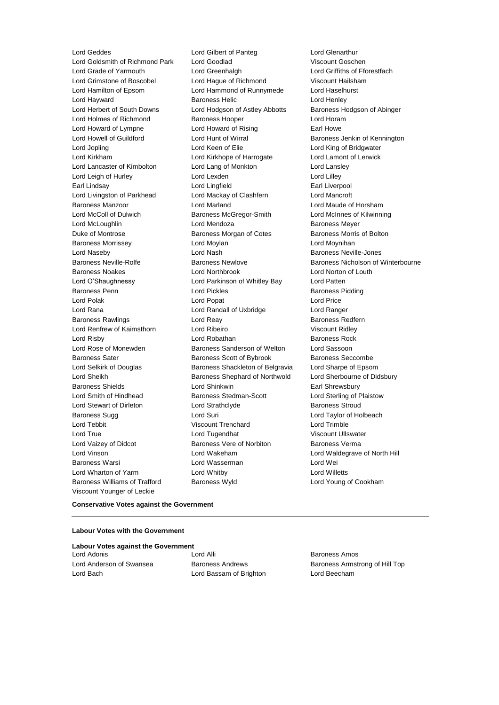Lord Geddes **Lord Gilbert of Panteg** Lord Genarthur<br>
Lord Goldsmith of Richmond Park Lord Goodlad **Lord Collage Collage Collage Collage Collage Collage Collage Collage Collage Collage Collage Collage Collage Collage Colla** Lord Goldsmith of Richmond Park Lord Goodlad Lord Grade of Yarmouth Lord Greenhalgh Lord Griffiths of Fforestfach Lord Grimstone of Boscobel Lord Hague of Richmond Viscount Hailsham Lord Hamilton of Epsom Lord Hammond of Runnymede Lord Haselhurst Lord Hayward **Baroness Helic** Lord Henley Lord Herbert of South Downs Lord Hodgson of Astley Abbotts Baroness Hodgson of Abinger Lord Holmes of Richmond Baroness Hooper Lord Horam Lord Howard of Lympne Lord Howard of Rising Earl Howe Lord Howell of Guildford **Lord Hunt of Wirral** Baroness Jenkin of Kennington Lord Jopling Lord Keen of Elie Lord King of Bridgwater Lord Kirkham Lord Kirkhope of Harrogate Lord Lamont of Lerwick Lord Lancaster of Kimbolton Lord Lang of Monkton Lord Lansley Lord Leigh of Hurley Lord Lexden Lord Lilley Earl Lindsay Lord Lingfield Earl Liverpool Lord Livingston of Parkhead Lord Mackay of Clashfern Lord Mancroft Baroness Manzoor Lord Marland Lord Maude of Horsham Lord McColl of Dulwich Baroness McGregor-Smith Lord McInnes of Kilwinning Lord McLoughlin Lord Mendoza Baroness Meyer Duke of Montrose Baroness Morgan of Cotes Baroness Morris of Bolton Baroness Morrissey **Lord Moylan** Lord Moylan Lord Moynihan Lord Naseby **Lord Nash Baroness Neville-Jones** Lord Nash Baroness Neville-Jones Baroness Noakes Lord Northbrook Lord Norton of Louth Lord O'Shaughnessy Lord Parkinson of Whitley Bay Lord Patten Baroness Penn **Baroness Pidding** Lord Pickles **Baroness Pidding** Baroness Pidding Lord Polak Lord Popat Lord Price Lord Rana Lord Randall of Uxbridge Lord Ranger Baroness Rawlings **Baroness Realists** Lord Reay **Baroness Redfern** Lord Renfrew of Kaimsthorn Lord Ribeiro **Viscount Ridley** Viscount Ridley Lord Risby **Lord Robathan** Baroness Rock **Lord Robathan** Baroness Rock Lord Rose of Monewden **Baroness Sanderson of Welton** Lord Sassoon Baroness Sater **Baroness Scott of Bybrook** Baroness Seccombe Lord Selkirk of Douglas Baroness Shackleton of Belgravia Lord Sharpe of Epsom Lord Sheikh **Baroness Shephard of Northwold** Lord Sherbourne of Didsbury Baroness Shields Lord Shinkwin Earl Shrewsbury Lord Smith of Hindhead **Baroness Stedman-Scott** Lord Sterling of Plaistow Lord Stewart of Dirleton Lord Strathclyde Baroness Stroud Baroness Sugg **Lord Suri Lord Suri Lord Taylor of Holbeach Lord Taylor of Holbeach** Lord Tebbit Viscount Trenchard Lord Trimble Lord True **Lord Tugendhat** Viscount Ullswater Lord Vaizey of Didcot **Baroness Vere of Norbiton** Baroness Verma Lord Vinson Lord Wakeham Lord Waldegrave of North Hill Baroness Warsi Lord Wasserman Lord Wei Lord Wharton of Yarm **Lord Whitby** Lord Whitby **Lord Willetts** Baroness Williams of Trafford Baroness Wyld Lord Young of Cookham Viscount Younger of Leckie

Baroness Neville-Rolfe **Baroness Newlove** Baroness Newlove **Baroness Nicholson of Winterbourne** 

### **Conservative Votes against the Government**

### **Labour Votes with the Government**

|  |  |  | <b>Labour Votes against the Government</b> |  |
|--|--|--|--------------------------------------------|--|
|  |  |  |                                            |  |

Lord Adonis **Lord Alli Lord Alli Baroness Amos** Lord Bach Lord Bassam of Brighton Lord Beecham

Lord Anderson of Swansea **Baroness Andrews** Baroness Andrews Baroness Armstrong of Hill Top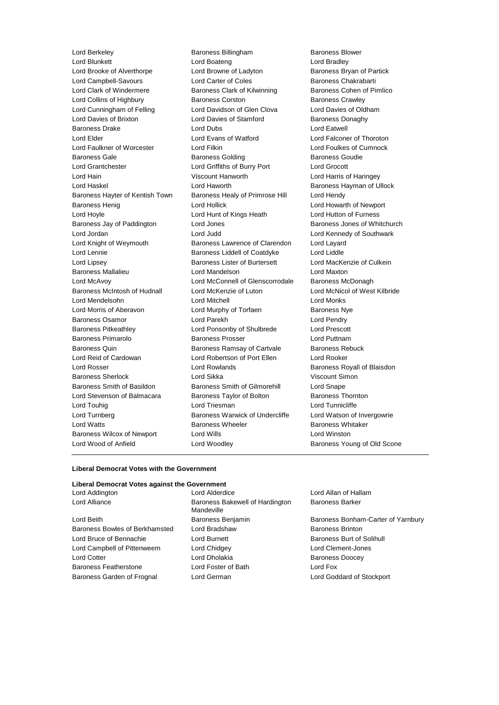Lord Blunkett Lord Boateng Lord Bradley Lord Brooke of Alverthorpe Lord Browne of Ladyton Baroness Bryan of Partick Lord Campbell-Savours **Lord Carter of Coles** Baroness Chakrabarti Lord Clark of Windermere **Baroness Clark of Kilwinning** Baroness Cohen of Pimlico Lord Collins of Highbury **Baroness Corston** Baroness Corston **Baroness Crawley** Lord Cunningham of Felling Lord Davidson of Glen Clova Lord Davies of Oldham Lord Davies of Brixton **Lord Davies of Stamford** Baroness Donaghy Baroness Drake **Lord Dubs** Lord Dubs **Lord Eatwell** Lord Elder Lord Evans of Watford Lord Falconer of Thoroton Lord Faulkner of Worcester Lord Filkin Lord Foulkes of Cumnock Baroness Gale **Baroness Golding** Baroness Goudie **Baroness Goudie** Lord Grantchester Lord Griffiths of Burry Port Lord Grocott Lord Hain Viscount Hanworth Lord Harris of Haringey Lord Haskel **Lord Haworth** Lord Haworth **Baroness Hayman of Ullock** Baroness Hayter of Kentish Town Baroness Healy of Primrose Hill Lord Hendy Baroness Henig Lord Hollick Lord Howarth of Newport Lord Hoyle Lord Hunt of Kings Heath Lord Hutton of Furness Baroness Jay of Paddington **Lord Jones Baroness Jones of Whitchurch** Core Lord Jordan Lord Judd Lord Kennedy of Southwark Lord Knight of Weymouth Baroness Lawrence of Clarendon Lord Layard Lord Lennie Baroness Liddell of Coatdyke Lord Liddle Lord Lipsey **Baroness Lister of Burtersett** Lord MacKenzie of Culkein Baroness Mallalieu Lord Mandelson Lord Maxton Lord McAvoy Lord McConnell of Glenscorrodale Baroness McDonagh Baroness McIntosh of Hudnall Lord McKenzie of Luton Lord McNicol of West Kilbride Lord Mendelsohn Lord Mitchell Lord Monks Lord Morris of Aberavon Lord Murphy of Torfaen Baroness Nye Baroness Osamor Lord Parekh Lord Pendry Baroness Pitkeathley Lord Ponsonby of Shulbrede Lord Prescott Baroness Primarolo Baroness Prosser Lord Puttnam Baroness Quin **Baroness Ramsay of Cartvale** Baroness Rebuck Lord Reid of Cardowan Lord Robertson of Port Ellen Lord Rooker Lord Rosser **Lord Rowlands Baroness Royall of Blaisdon** Baroness Sherlock Lord Sikka Viscount Simon Baroness Smith of Basildon Baroness Smith of Gilmorehill Lord Snape Lord Stevenson of Balmacara Baroness Taylor of Bolton Baroness Thornton Lord Touhig **Lord Triesman** Lord Triesman **Lord Tunnicliffe** Lord Turnberg **Baroness Warwick of Undercliffe** Lord Watson of Invergowrie Lord Watts **Baroness Wheeler** Baroness Wheeler **Baroness Whitaker** Baroness Wilcox of Newport Lord Wills Lord Winston Lord Wood of Anfield **Lord Woodley Baroness Young of Old Scone** 

Lord Berkeley Baroness Billingham Baroness Blower

#### **Liberal Democrat Votes with the Government**

## **Liberal Democrat Votes against the Government**

| ----------------               |                                               |                 |
|--------------------------------|-----------------------------------------------|-----------------|
| Lord Alliance                  | Baroness Bakewell of Hardington<br>Mandeville | <b>Baroness</b> |
| Lord Beith                     | Baroness Benjamin                             | <b>Baroness</b> |
| Baroness Bowles of Berkhamsted | Lord Bradshaw                                 | <b>Baroness</b> |
| Lord Bruce of Bennachie        | Lord Burnett                                  | <b>Baroness</b> |
| Lord Campbell of Pittenweem    | Lord Chidgey                                  | Lord Cler       |
| <b>Lord Cotter</b>             | Lord Dholakia                                 | <b>Baroness</b> |
| <b>Baroness Featherstone</b>   | Lord Foster of Bath                           | Lord Fox        |
| Baroness Garden of Frognal     | Lord German                                   | Lord God        |
|                                |                                               |                 |

Lord Addington Lord Alderdice Lord Allan of Hallam is Bakewell of Hardington ille dshaw **Baroness Brinton** dgey Lord Clement-Jones Lord Cotter Lord Dholakia Baroness Doocey

Baroness Barker

s Benjamin Baroness Bonham-Carter of Yarnbury Lord Bruce of Bennachie Lord Burnett Baroness Burt of Solihull Fran European Lord Goddard of Stockport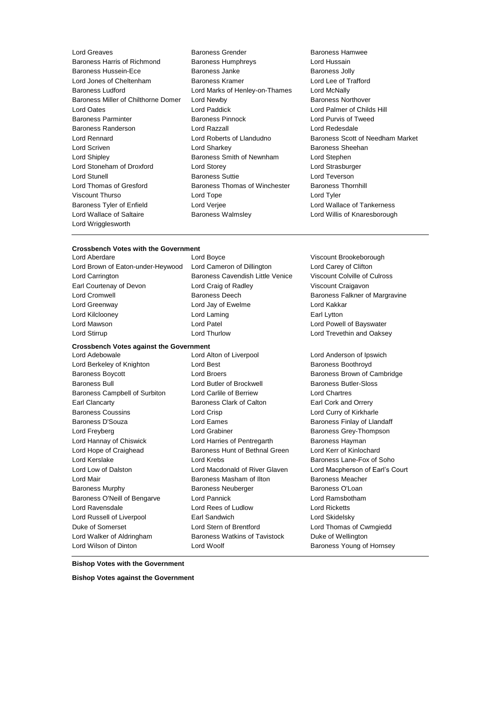| Lord Greaves                        | Baroness Grender               | Baroness              |
|-------------------------------------|--------------------------------|-----------------------|
| Baroness Harris of Richmond         | <b>Baroness Humphreys</b>      | Lord Huss             |
| Baroness Hussein-Ece                | Baroness Janke                 | Baroness,             |
| Lord Jones of Cheltenham            | Baroness Kramer                | Lord Lee c            |
| <b>Baroness Ludford</b>             | Lord Marks of Henley-on-Thames | Lord McNa             |
| Baroness Miller of Chilthorne Domer | Lord Newby                     | Baroness              |
| Lord Oates                          | Lord Paddick                   | Lord Palm             |
| <b>Baroness Parminter</b>           | <b>Baroness Pinnock</b>        | Lord Purvi:           |
| Baroness Randerson                  | Lord Razzall                   | Lord Rede             |
| Lord Rennard                        | Lord Roberts of Llandudno      | <b>Baroness</b>       |
| Lord Scriven                        | Lord Sharkey                   | <b>Baroness</b>       |
| Lord Shipley                        | Baroness Smith of Newnham      | Lord Steph            |
| Lord Stoneham of Droxford           | Lord Storey                    | <b>Lord Stras</b>     |
| Lord Stunell                        | <b>Baroness Suttie</b>         | Lord Tever            |
| Lord Thomas of Gresford             | Baroness Thomas of Winchester  | Baroness <sup>1</sup> |
| Viscount Thurso                     | Lord Tope                      | Lord Tyler            |
| Baroness Tyler of Enfield           | Lord Verjee                    | Lord Walla            |
| Lord Wallace of Saltaire            | <b>Baroness Walmsley</b>       | <b>Lord Willis</b>    |
| Lord Wrigglesworth                  |                                |                       |
|                                     |                                |                       |

- Baroness Grender **Baroness Hamwee**<br>
Baroness Humphrevs
Baroness Humphrevs
Baroness
Baroness
Baroness
Baroness
Baroness
Baroness
Baroness
Baroness
Baroness
Baroness **Baroness Eord**Hussain Baroness Humphreys Baroness Janke Baroness Jolly Baroness Kramer Lord Lee of Trafford Lord Marks of Henley-on-Thames Lord McNally Lord Newby **Baroness Northover** Lord Paddick **Lord Palmer of Childs Hill** Baroness Pinnock Lord Purvis of Tweed Lord Razzall **Lord Redesdale** Lord Sharkey **Baroness** Sheehan Baroness Smith of Newnham Lord Stephen Lord Storey **Lord Strasburger** Baroness Suttie Lord Teverson Baroness Thomas of Winchester Baroness Thornhill Lord Verjee **Lord Wallace of Tankerness** Baroness Walmsley **Lord Willis of Knaresborough**
- Lord Roberts of Llandudno Baroness Scott of Needham Market

### **Crossbench Votes with the Government**

Lord Brown of Eaton-under-Heywood Lord Cameron of Dillington Lord Carey of Clifton Lord Carrington Baroness Cavendish Little Venice Viscount Colville of Culross Earl Courtenay of Devon Lord Craig of Radley Viscount Craigavon Lord Cromwell **Baroness Deech** Baroness Deech Baroness Falkner of Margravine Lord Greenway Lord Jay of Ewelme Lord Kakkar Lord Kilclooney **Lord Laming Earl Lytton** Lord Mawson Lord Patel Lord Powell of Bayswater Lord Stirrup Lord Thurlow Lord Trevethin and Oaksey

### **Crossbench Votes against the Government**

- Lord Berkeley of Knighton **Lord Best** Baroness Boothroyd **Baroness** Boothroyd Baroness Boycott Lord Broers Baroness Brown of Cambridge Baroness Bull Lord Butler of Brockwell Baroness Butler-Sloss Baroness Campbell of Surbiton Lord Carlile of Berriew Lord Chartres Earl Clancarty Baroness Clark of Calton Earl Cork and Orrery Baroness Coussins Lord Crisp Lord Curry of Kirkharle Baroness D'Souza **March 2008** Lord Eames **Baroness Finlay of Llandaff** Lord Freyberg **Construction Construction Construction** Lord Grabiner **Baroness Grey-Thompson** Lord Hannay of Chiswick **Lord Harries of Pentregarth** Baroness Hayman Lord Hope of Craighead Baroness Hunt of Bethnal Green Lord Kerr of Kinlochard Lord Kerslake **Lord Krebs** Lord Krebs Baroness Lane-Fox of Soho Lord Mair Baroness Masham of Ilton Baroness Meacher Baroness Murphy Baroness Neuberger Baroness O'Loan Baroness O'Neill of Bengarve Lord Pannick Lord Ramsbotham Lord Ravensdale Lord Rees of Ludlow Lord Ricketts Lord Russell of Liverpool **Earl Sandwich Lord Skidelsky** Lord Skidelsky Duke of Somerset Lord Stern of Brentford Lord Thomas of Cwmgiedd Lord Walker of Aldringham Baroness Watkins of Tavistock Duke of Wellington Lord Wilson of Dinton **Lord Woolf Conserverse Conserverse Conserverse Conserverse Conserverse Conserverse Conserverse Conserverse Conserverse Conserverse Conserverse Conserverse Conserverse Conserverse Conserverse Conser**
- 
- Lord Adebowale Lord Alton of Liverpool Lord Anderson of Ipswich
- Lord Aberdare Lord Boyce Viscount Brookeborough

Lord Low of Dalston Lord Macdonald of River Glaven Lord Macpherson of Earl's Court

### **Bishop Votes with the Government**

**Bishop Votes against the Government**